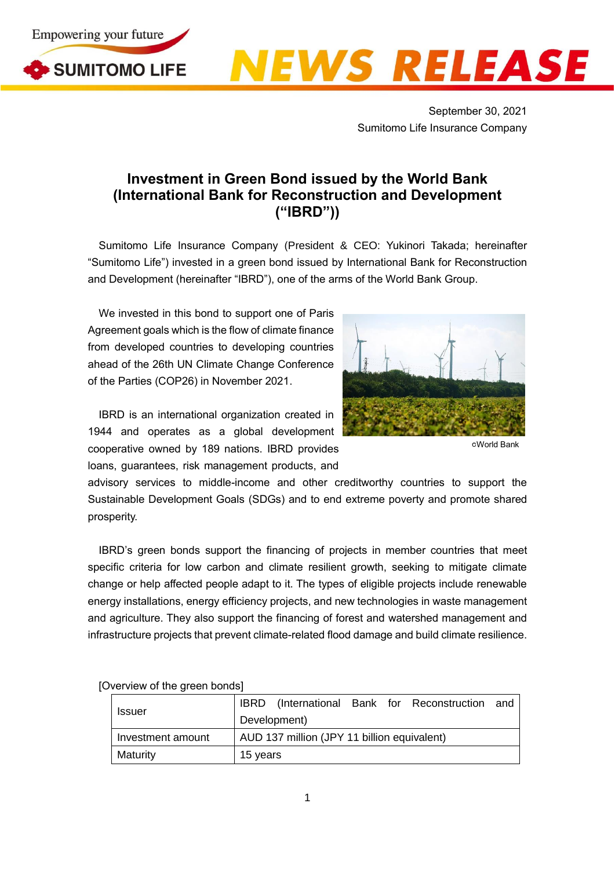





September 30, 2021 Sumitomo Life Insurance Company

## **Investment in Green Bond issued by the World Bank (International Bank for Reconstruction and Development ("IBRD"))**

Sumitomo Life Insurance Company (President & CEO: Yukinori Takada; hereinafter "Sumitomo Life") invested in a green bond issued by International Bank for Reconstruction and Development (hereinafter "IBRD"), one of the arms of the World Bank Group.

We invested in this bond to support one of Paris Agreement goals which is the flow of climate finance from developed countries to developing countries ahead of the 26th UN Climate Change Conference of the Parties (COP26) in November 2021.

IBRD is an international organization created in 1944 and operates as a global development cooperative owned by 189 nations. IBRD provides loans, guarantees, risk management products, and



○CWorld Bank

advisory services to middle-income and other creditworthy countries to support the Sustainable Development Goals (SDGs) and to end extreme poverty and promote shared prosperity.

IBRD's green bonds support the financing of projects in member countries that meet specific criteria for low carbon and climate resilient growth, seeking to mitigate climate change or help affected people adapt to it. The types of eligible projects include renewable energy installations, energy efficiency projects, and new technologies in waste management and agriculture. They also support the financing of forest and watershed management and infrastructure projects that prevent climate-related flood damage and build climate resilience.

| <b>Issuer</b>     |                                             |  |  |  | IBRD (International Bank for Reconstruction and |  |
|-------------------|---------------------------------------------|--|--|--|-------------------------------------------------|--|
|                   | Development)                                |  |  |  |                                                 |  |
| Investment amount | AUD 137 million (JPY 11 billion equivalent) |  |  |  |                                                 |  |
| Maturity          | 15 years                                    |  |  |  |                                                 |  |

[Overview of the green bonds]